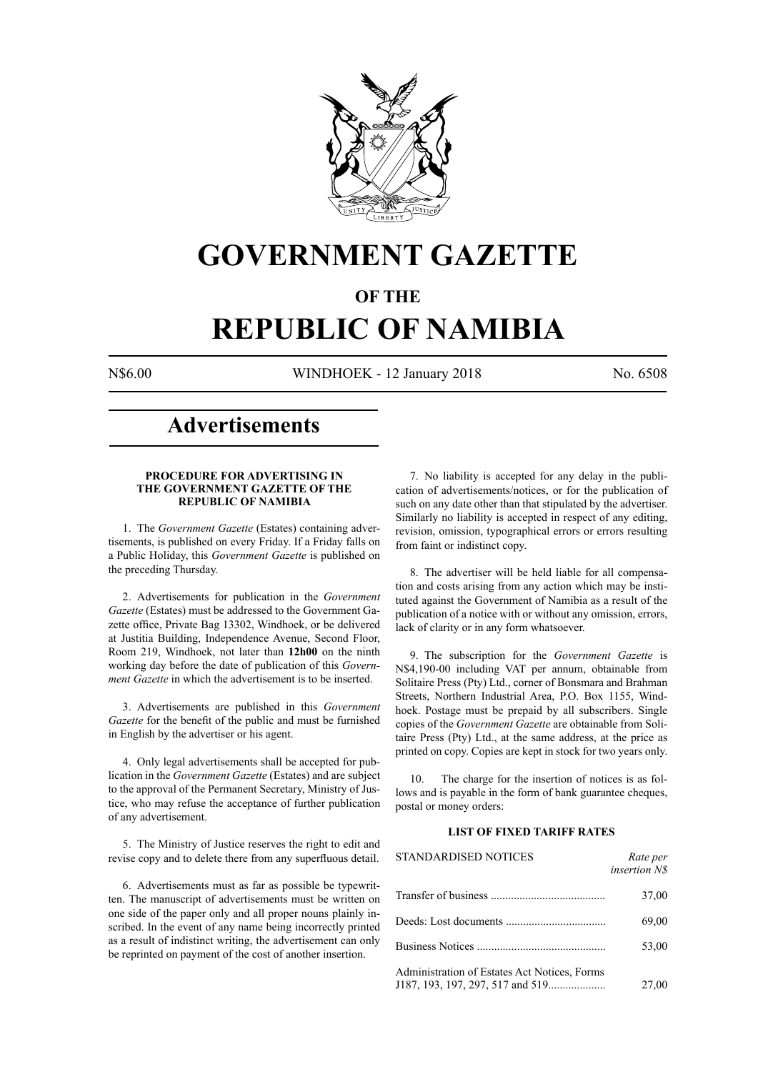

## **GOVERNMENT GAZETTE**

#### **OF THE**

## **REPUBLIC OF NAMIBIA**

N\$6.00 WINDHOEK - 12 January 2018 No. 6508

### **Advertisements**

#### **PROCEDURE FOR ADVERTISING IN THE GOVERNMENT GAZETTE OF THE REPUBLIC OF NAMIBIA**

1. The *Government Gazette* (Estates) containing advertisements, is published on every Friday. If a Friday falls on a Public Holiday, this *Government Gazette* is published on the preceding Thursday.

2. Advertisements for publication in the *Government Gazette* (Estates) must be addressed to the Government Gazette office, Private Bag 13302, Windhoek, or be delivered at Justitia Building, Independence Avenue, Second Floor, Room 219, Windhoek, not later than **12h00** on the ninth working day before the date of publication of this *Government Gazette* in which the advertisement is to be inserted.

3. Advertisements are published in this *Government Gazette* for the benefit of the public and must be furnished in English by the advertiser or his agent.

4. Only legal advertisements shall be accepted for publication in the *Government Gazette* (Estates) and are subject to the approval of the Permanent Secretary, Ministry of Justice, who may refuse the acceptance of further publication of any advertisement.

5. The Ministry of Justice reserves the right to edit and revise copy and to delete there from any superfluous detail.

6. Advertisements must as far as possible be typewritten. The manuscript of advertisements must be written on one side of the paper only and all proper nouns plainly inscribed. In the event of any name being incorrectly printed as a result of indistinct writing, the advertisement can only be reprinted on payment of the cost of another insertion.

7. No liability is accepted for any delay in the publication of advertisements/notices, or for the publication of such on any date other than that stipulated by the advertiser. Similarly no liability is accepted in respect of any editing, revision, omission, typographical errors or errors resulting from faint or indistinct copy.

8. The advertiser will be held liable for all compensation and costs arising from any action which may be instituted against the Government of Namibia as a result of the publication of a notice with or without any omission, errors, lack of clarity or in any form whatsoever.

9. The subscription for the *Government Gazette* is N\$4,190-00 including VAT per annum, obtainable from Solitaire Press (Pty) Ltd., corner of Bonsmara and Brahman Streets, Northern Industrial Area, P.O. Box 1155, Windhoek. Postage must be prepaid by all subscribers. Single copies of the *Government Gazette* are obtainable from Solitaire Press (Pty) Ltd., at the same address, at the price as printed on copy. Copies are kept in stock for two years only.

10. The charge for the insertion of notices is as follows and is payable in the form of bank guarantee cheques, postal or money orders:

#### **LIST OF FIXED TARIFF RATES**

| <b>STANDARDISED NOTICES</b>                  | Rate per<br><i>insertion NS</i> |
|----------------------------------------------|---------------------------------|
|                                              | 37,00                           |
|                                              | 69,00                           |
|                                              | 53,00                           |
| Administration of Estates Act Notices, Forms | 27,00                           |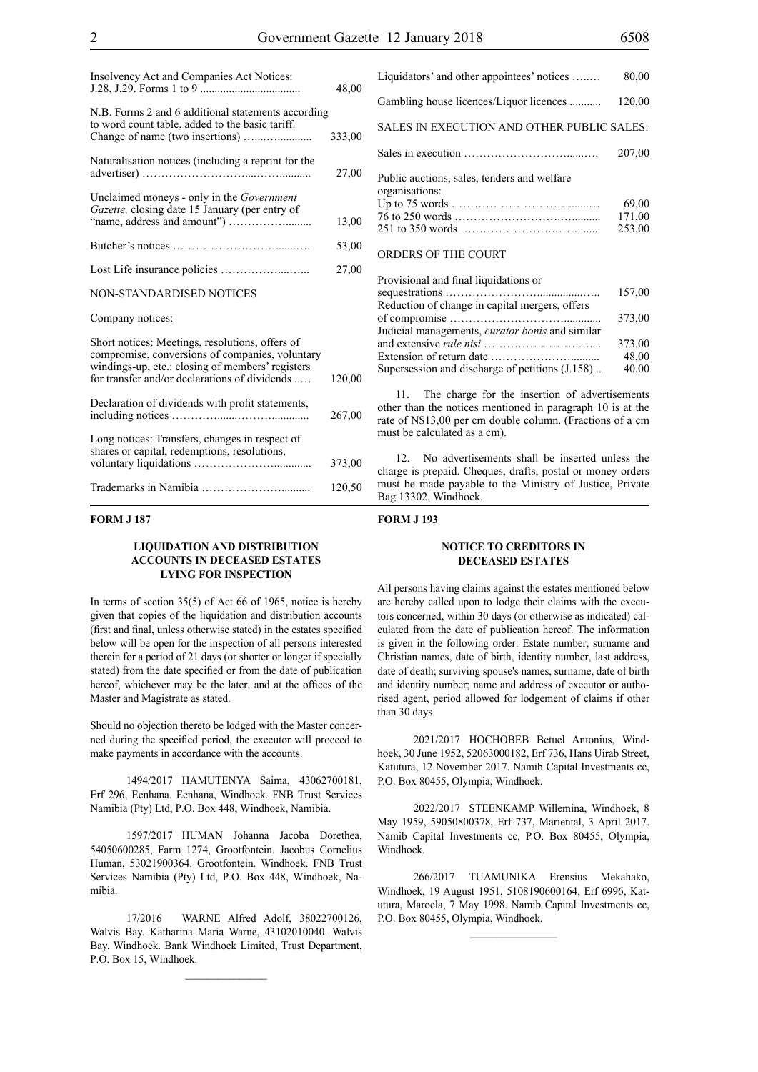| Insolvency Act and Companies Act Notices:                                                                                                                                                               | 48,00  |
|---------------------------------------------------------------------------------------------------------------------------------------------------------------------------------------------------------|--------|
| N.B. Forms 2 and 6 additional statements according<br>to word count table, added to the basic tariff.<br>Change of name (two insertions)                                                                | 333,00 |
| Naturalisation notices (including a reprint for the                                                                                                                                                     | 27,00  |
| Unclaimed moneys - only in the Government<br>Gazette, closing date 15 January (per entry of                                                                                                             | 13,00  |
|                                                                                                                                                                                                         | 53,00  |
|                                                                                                                                                                                                         | 27,00  |
| NON-STANDARDISED NOTICES                                                                                                                                                                                |        |
| Company notices:                                                                                                                                                                                        |        |
| Short notices: Meetings, resolutions, offers of<br>compromise, conversions of companies, voluntary<br>windings-up, etc.: closing of members' registers<br>for transfer and/or declarations of dividends | 120,00 |
| Declaration of dividends with profit statements,                                                                                                                                                        | 267,00 |
| Long notices: Transfers, changes in respect of<br>shares or capital, redemptions, resolutions,                                                                                                          | 373,00 |
|                                                                                                                                                                                                         | 120,50 |

#### **FORM J 187**

#### **LIQUIDATION AND DISTRIBUTION ACCOUNTS IN DECEASED ESTATES LYING FOR INSPECTION**

In terms of section 35(5) of Act 66 of 1965, notice is hereby given that copies of the liquidation and distribution accounts (first and final, unless otherwise stated) in the estates specified below will be open for the inspection of all persons interested therein for a period of 21 days (or shorter or longer if specially stated) from the date specified or from the date of publication hereof, whichever may be the later, and at the offices of the Master and Magistrate as stated.

Should no objection thereto be lodged with the Master concerned during the specified period, the executor will proceed to make payments in accordance with the accounts.

1494/2017 HAMUTENYA Saima, 43062700181, Erf 296, Eenhana. Eenhana, Windhoek. FNB Trust Services Namibia (Pty) Ltd, P.O. Box 448, Windhoek, Namibia.

1597/2017 HUMAN Johanna Jacoba Dorethea, 54050600285, Farm 1274, Grootfontein. Jacobus Cornelius Human, 53021900364. Grootfontein. Windhoek. FNB Trust Services Namibia (Pty) Ltd, P.O. Box 448, Windhoek, Namibia.

17/2016 WARNE Alfred Adolf, 38022700126, Walvis Bay. Katharina Maria Warne, 43102010040. Walvis Bay. Windhoek. Bank Windhoek Limited, Trust Department, P.O. Box 15, Windhoek.

| Liquidators' and other appointees' notices                    | 80,00                     |
|---------------------------------------------------------------|---------------------------|
| Gambling house licences/Liquor licences                       | 120,00                    |
| SALES IN EXECUTION AND OTHER PUBLIC SALES:                    |                           |
|                                                               | 207,00                    |
| Public auctions, sales, tenders and welfare<br>organisations: | 69,00<br>171,00<br>253,00 |
| ORDERS OF THE COURT                                           |                           |

| Provisional and final liquidations or                  |        |
|--------------------------------------------------------|--------|
|                                                        | 157,00 |
| Reduction of change in capital mergers, offers         |        |
|                                                        | 373,00 |
| Judicial managements, <i>curator bonis</i> and similar |        |
|                                                        | 373,00 |
|                                                        | 48.00  |
| Supersession and discharge of petitions (J.158)        | 40,00  |
|                                                        |        |

Provisional and final liquidations or

11. The charge for the insertion of advertisements other than the notices mentioned in paragraph 10 is at the rate of N\$13,00 per cm double column. (Fractions of a cm must be calculated as a cm).

12. No advertisements shall be inserted unless the charge is prepaid. Cheques, drafts, postal or money orders must be made payable to the Ministry of Justice, Private Bag 13302, Windhoek.

#### **FORM J 193**

#### **NOTICE TO CREDITORS IN DECEASED ESTATES**

All persons having claims against the estates mentioned below are hereby called upon to lodge their claims with the executors concerned, within 30 days (or otherwise as indicated) calculated from the date of publication hereof. The information is given in the following order: Estate number, surname and Christian names, date of birth, identity number, last address, date of death; surviving spouse's names, surname, date of birth and identity number; name and address of executor or authorised agent, period allowed for lodgement of claims if other than 30 days.

2021/2017 HOCHOBEB Betuel Antonius, Windhoek, 30 June 1952, 52063000182, Erf 736, Hans Uirab Street, Katutura, 12 November 2017. Namib Capital Investments cc, P.O. Box 80455, Olympia, Windhoek.

2022/2017 STEENKAMP Willemina, Windhoek, 8 May 1959, 59050800378, Erf 737, Mariental, 3 April 2017. Namib Capital Investments cc, P.O. Box 80455, Olympia, Windhoek.

266/2017 TUAMUNIKA Erensius Mekahako, Windhoek, 19 August 1951, 5108190600164, Erf 6996, Katutura, Maroela, 7 May 1998. Namib Capital Investments cc, P.O. Box 80455, Olympia, Windhoek.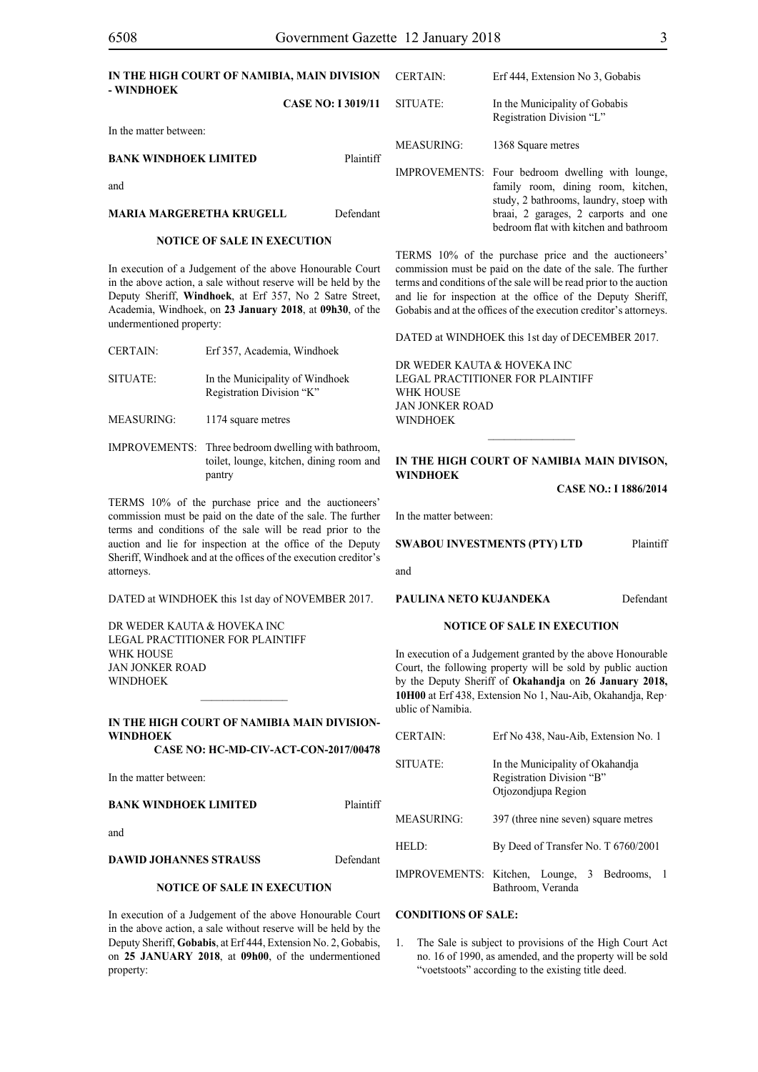| IN THE HIGH COURT OF NAMIBIA, MAIN DIVISION<br>- WINDHOEK |                           | CERTAIN:   | Erf 444, Extension No 3, Gobabis                                                                                                  |
|-----------------------------------------------------------|---------------------------|------------|-----------------------------------------------------------------------------------------------------------------------------------|
|                                                           | <b>CASE NO: I 3019/11</b> | SITUATE:   | In the Municipality of Gobabis<br>Registration Division "L"                                                                       |
| In the matter between:                                    |                           |            |                                                                                                                                   |
| <b>BANK WINDHOEK LIMITED</b>                              | Plaintiff                 | MEASURING: | 1368 Square metres                                                                                                                |
|                                                           |                           |            |                                                                                                                                   |
| and                                                       |                           |            | IMPROVEMENTS: Four bedroom dwelling with lounge,<br>family room, dining room, kitchen,<br>study, 2 bathrooms, laundry, stoep with |
| <b>MARIA MARGERETHA KRUGELL</b>                           | Defendant                 |            | braai, 2 garages, 2 carports and one<br>bedroom flat with kitchen and bathroom                                                    |
| <b>NOTICE OF SALE IN EXECUTION</b>                        |                           |            |                                                                                                                                   |

# In execution of a Judgement of the above Honourable Court

in the above action, a sale without reserve will be held by the Deputy Sheriff, **Windhoek**, at Erf 357, No 2 Satre Street, Academia, Windhoek, on **23 January 2018**, at **09h30**, of the undermentioned property:

| <b>CERTAIN:</b> | Erf 357, Academia, Windhoek     |    |
|-----------------|---------------------------------|----|
|                 |                                 | DF |
| SITUATE:        | In the Municipality of Windhoek | LF |
|                 | Registration Division "K"       | W  |
|                 |                                 | JA |

MEASURING: 1174 square metres

IMPROVEMENTS: Three bedroom dwelling with bathroom, toilet, lounge, kitchen, dining room and pantry

TERMS 10% of the purchase price and the auctioneers' commission must be paid on the date of the sale. The further terms and conditions of the sale will be read prior to the auction and lie for inspection at the office of the Deputy Sheriff, Windhoek and at the offices of the execution creditor's attorneys.

DATED at WINDHOEK this 1st day of NOVEMBER 2017.

DR WEDER KAUTA & HOVEKA INC Legal Practitioner for Plaintiff WHK HOUSE Jan Jonker Road WINDHOEK

#### **IN THE HIGH COURT OF NAMIBIA MAIN DIVISION-WINDHOEK**

 $\mathcal{L}=\mathcal{L}^{\mathcal{L}}$ 

**CASE NO: HC-MD-CIV-ACT-CON-2017/00478**

In the matter between:

#### **BANK WINDHOEK LIMITED** Plaintiff

and

**DAWID JOHANNES STRAUSS** Defendant

#### **NOTICE OF SALE IN EXECUTION**

In execution of a Judgement of the above Honourable Court in the above action, a sale without reserve will be held by the Deputy Sheriff, **Gobabis**, at Erf 444, Extension No. 2, Gobabis, on **25 JANUARY 2018**, at **09h00**, of the undermentioned property:

TERMS 10% of the purchase price and the auctioneers' commission must be paid on the date of the sale. The further terms and conditions of the sale will be read prior to the auction and lie for inspection at the office of the Deputy Sheriff, Gobabis and at the offices of the execution creditor's attorneys.

DATED at WINDHOEK this 1st day of DECEMBER 2017.

R WEDER KAUTA & HOVEKA INC **GAL PRACTITIONER FOR PLAINTIFF** HK HOUSE Jan Jonker Road **WINDHOEK** 

#### **IN THE HIGH COURT OF NAMIBIA MAIN DIVISON, WINDHOEK**

**CASE NO.: I 1886/2014**

In the matter between:

**SWABOU INVESTMENTS (PTY) LTD** Plaintiff

and

**PAULINA NETO KUJANDEKA** Defendant

#### **NOTICE OF SALE IN EXECUTION**

In execution of a Judgement granted by the above Honourable Court, the following property will be sold by public auction by the Deputy Sheriff of **Okahandja** on **26 January 2018, 10H00** at Erf 438, Extension No 1, Nau-Aib, Okahandja, Rep· ublic of Namibia.

| <b>CERTAIN:</b>   | Erf No 438, Nau-Aib, Extension No. 1                                                 |  |
|-------------------|--------------------------------------------------------------------------------------|--|
| SITUATE:          | In the Municipality of Okahandia<br>Registration Division "B"<br>Otjozondjupa Region |  |
| MEASURING:        | 397 (three nine seven) square metres                                                 |  |
| HELD <sup>.</sup> | By Deed of Transfer No. T 6760/2001                                                  |  |
|                   | IMPROVEMENTS: Kitchen, Lounge, 3 Bedrooms,<br>Bathroom, Veranda                      |  |

#### **CONDITIONS OF SALE:**

1. The Sale is subject to provisions of the High Court Act no. 16 of 1990, as amended, and the property will be sold "voetstoots" according to the existing title deed.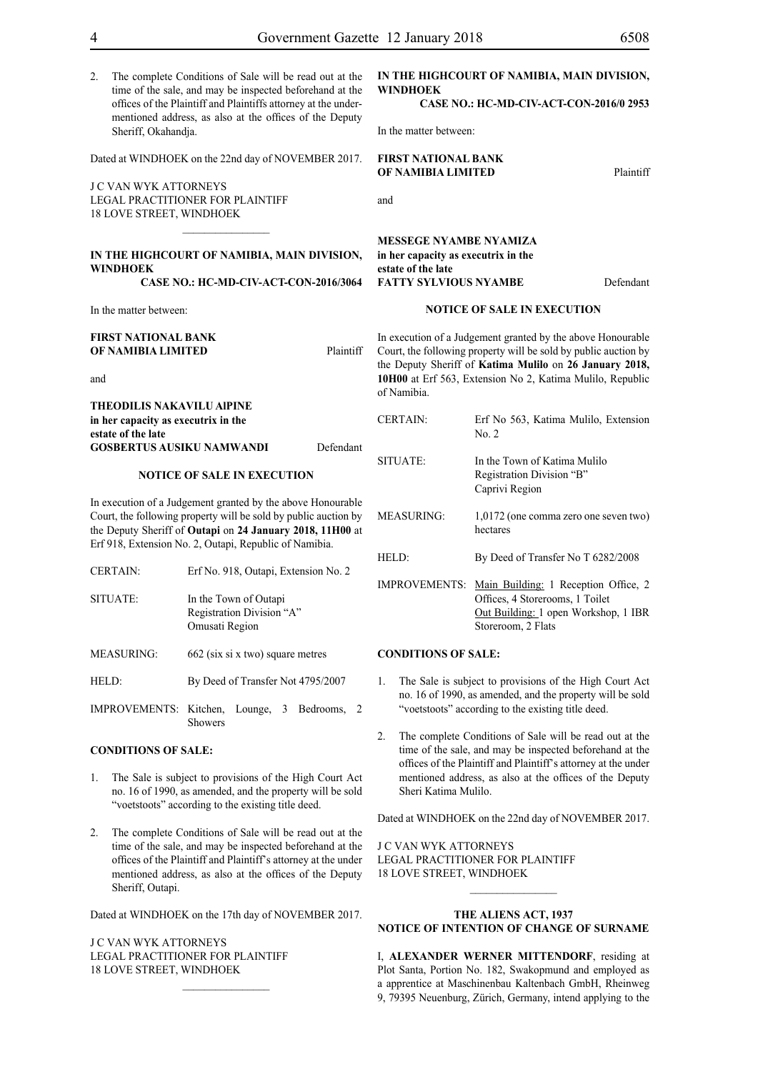2. The complete Conditions of Sale will be read out at the time of the sale, and may be inspected beforehand at the offices of the Plaintiff and Plaintiffs attorney at the undermentioned address, as also at the offices of the Deputy Sheriff, Okahandja.

Dated at WINDHOEK on the 22nd day of NOVEMBER 2017.

J C VAN WYK ATTORNEYS Legal Practitioner for Plaintiff 18 LOVE STREET, WINDHOEK

#### **IN THE HIGHCOURT OF NAMIBIA, MAIN DIVISION, WINDHOEK**

 $\frac{1}{2}$ 

#### **CASE NO.: HC-MD-CIV-ACT-CON-2016/3064**

In the matter between:

#### **FIRST NATIONAL BANK OF NAMIBIA LIMITED** Plaintiff

and

**THEODILIS NAKAVILU AlPINE in her capacity as executrix in the estate of the late GOSBERTUS AUSIKU NAMWANDI** Defendant

#### **NOTICE OF SALE IN EXECUTION**

In execution of a Judgement granted by the above Honourable Court, the following property will be sold by public auction by the Deputy Sheriff of **Outapi** on **24 January 2018, 11H00** at Erf 918, Extension No. 2, Outapi, Republic of Namibia.

| <b>CERTAIN:</b>   | Erf No. 918, Outapi, Extension No. 2                                 |
|-------------------|----------------------------------------------------------------------|
| SITUATE:          | In the Town of Outapi<br>Registration Division "A"<br>Omusati Region |
| <b>MEASURING:</b> | 662 (six si x two) square metres                                     |
| HELD:             | By Deed of Transfer Not 4795/2007                                    |
|                   | IMPROVEMENTS: Kitchen, Lounge, 3 Bedrooms,<br>2                      |

Showers

#### **CONDITIONS OF SALE:**

- 1. The Sale is subject to provisions of the High Court Act no. 16 of 1990, as amended, and the property will be sold "voetstoots" according to the existing title deed.
- 2. The complete Conditions of Sale will be read out at the time of the sale, and may be inspected beforehand at the offices of the Plaintiff and Plaintiff's attorney at the under mentioned address, as also at the offices of the Deputy Sheriff, Outapi.

Dated at WINDHOEK on the 17th day of NOVEMBER 2017.

J C VAN WYK ATTORNEYS Legal Practitioner for Plaintiff 18 LOVE STREET, WINDHOEK

#### **IN THE HIGHCOURT OF NAMIBIA, MAIN DIVISION, WINDHOEK**

**CASE NO.: HC-MD-CIV-ACT-CON-2016/0 2953**

In the matter between:

#### **FIRST NATIONAL BANK OF NAMIBIA LIMITED** Plaintiff

#### **MESSEGE NYAMBE NYAMIZA in her capacity as executrix in the estate of the late FATTY SYLVIOUS NYAMBE** Defendant

#### **NOTICE OF SALE IN EXECUTION**

In execution of a Judgement granted by the above Honourable Court, the following property will be sold by public auction by the Deputy Sheriff of **Katima Mulilo** on **26 January 2018, 10H00** at Erf 563, Extension No 2, Katima Mulilo, Republic of Namibia.

| <b>CERTAIN:</b>      | Erf No 563, Katima Mulilo, Extension<br>No. 2                                                                                         |
|----------------------|---------------------------------------------------------------------------------------------------------------------------------------|
| SITUATE:             | In the Town of Katima Mulilo<br>Registration Division "B"<br>Caprivi Region                                                           |
| <b>MEASURING:</b>    | 1,0172 (one comma zero one seven two)<br>hectares                                                                                     |
| HELD:                | By Deed of Transfer No T 6282/2008                                                                                                    |
| <b>IMPROVEMENTS:</b> | Main Building: 1 Reception Office, 2<br>Offices, 4 Storerooms, 1 Toilet<br>Out Building: 1 open Workshop, 1 IBR<br>Storeroom, 2 Flats |
|                      |                                                                                                                                       |

#### **CONDITIONS OF SALE:**

- 1. The Sale is subject to provisions of the High Court Act no. 16 of 1990, as amended, and the property will be sold "voetstoots" according to the existing title deed.
- 2. The complete Conditions of Sale will be read out at the time of the sale, and may be inspected beforehand at the offices of the Plaintiff and Plaintiff's attorney at the under mentioned address, as also at the offices of the Deputy Sheri Katima Mulilo.

Dated at WINDHOEK on the 22nd day of NOVEMBER 2017.

J C VAN WYK ATTORNEYS Legal Practitioner for Plaintiff 18 LOVE STREET, WINDHOEK

#### **THE ALIENS ACT, 1937 NOTICE OF INTENTION OF CHANGE OF SURNAME**

I, **Alexander werner mittendorf**, residing at Plot Santa, Portion No. 182, Swakopmund and employed as a apprentice at Maschinenbau Kaltenbach GmbH, Rheinweg 9, 79395 Neuenburg, Zürich, Germany, intend applying to the

and